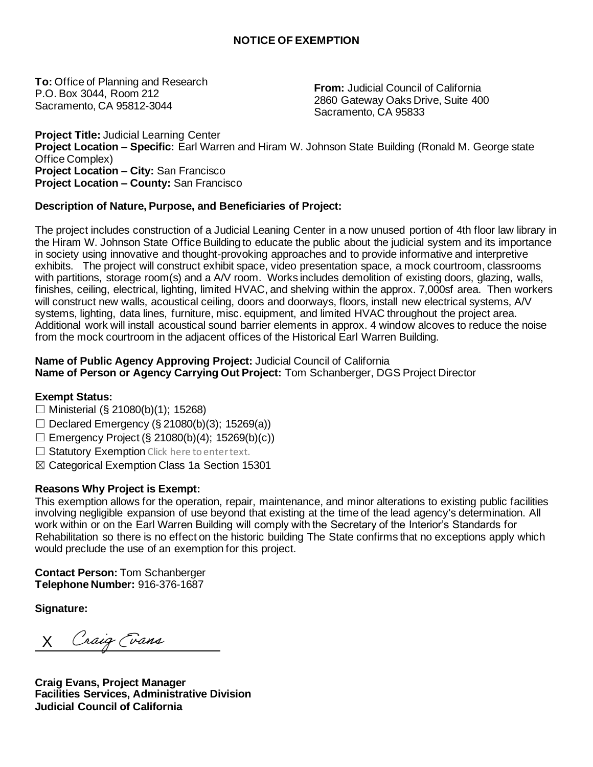**To:** Office of Planning and Research P.O. Box 3044, Room 212 Sacramento, CA 95812-3044

**From:** Judicial Council of California 2860 Gateway Oaks Drive, Suite 400 Sacramento, CA 95833

**Project Title:** Judicial Learning Center **Project Location – Specific:** Earl Warren and Hiram W. Johnson State Building (Ronald M. George state Office Complex) **Project Location – City:** San Francisco **Project Location – County:** San Francisco

## **Description of Nature, Purpose, and Beneficiaries of Project:**

The project includes construction of a Judicial Leaning Center in a now unused portion of 4th floor law library in the Hiram W. Johnson State Office Building to educate the public about the judicial system and its importance in society using innovative and thought-provoking approaches and to provide informative and interpretive exhibits. The project will construct exhibit space, video presentation space, a mock courtroom, classrooms with partitions, storage room(s) and a A/V room. Works includes demolition of existing doors, glazing, walls, finishes, ceiling, electrical, lighting, limited HVAC, and shelving within the approx. 7,000sf area. Then workers will construct new walls, acoustical ceiling, doors and doorways, floors, install new electrical systems, A/V systems, lighting, data lines, furniture, misc. equipment, and limited HVAC throughout the project area. Additional work will install acoustical sound barrier elements in approx. 4 window alcoves to reduce the noise from the mock courtroom in the adjacent offices of the Historical Earl Warren Building.

## **Name of Public Agency Approving Project:** Judicial Council of California **Name of Person or Agency Carrying Out Project:** Tom Schanberger, DGS Project Director

## **Exempt Status:**

- ☐ Ministerial (§ 21080(b)(1); 15268)
- $\Box$  Declared Emergency (§ 21080(b)(3); 15269(a))
- $\Box$  Emergency Project (§ 21080(b)(4); 15269(b)(c))
- □ Statutory Exemption Click here to enter text.
- ☒ Categorical Exemption Class 1a Section 15301

## **Reasons Why Project is Exempt:**

This exemption allows for the operation, repair, maintenance, and minor alterations to existing public facilities involving negligible expansion of use beyond that existing at the time of the lead agency's determination. All work within or on the Earl Warren Building will comply with the Secretary of the Interior's Standards for Rehabilitation so there is no effect on the historic building The State confirms that no exceptions apply which would preclude the use of an exemption for this project.

**Contact Person:** Tom Schanberger **Telephone Number:** 916-376-1687

**Signature:**

Craig Evans X

**Craig Evans, Project Manager Facilities Services, Administrative Division Judicial Council of California**